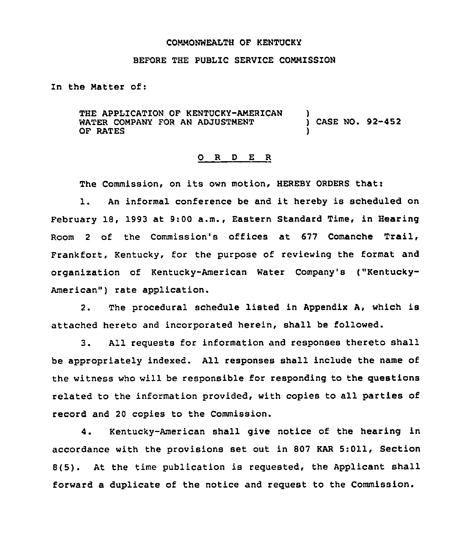#### COMMONWEALTH OF KENTUCKY

### BEFORE THE PUBLIC SERVICE COMMISSION

In the Natter of:

THE APPLICATION OF KENTUCKY-AMERICAN WATER COMPANY FOR AN ADJUSTNENT OF RATES ) CASE NO. 92-452 )

#### 0 R <sup>D</sup> E <sup>R</sup>

The Commission, on its own motion, HEREBY ORDERS that:

l. An informal conference be and it hereby is scheduled on February 18, 1993 at 9:00 a.m., Eastern Standard Time, in Hearing Room <sup>2</sup> of the Commission's offices at 677 Comanche Trail, Frankfort, Kentucky, for the purpose of reviewing the format and organization of Kentucky-American Water Company's ("Kentucky-American") rate application.

2. The procedural schedule listed in Appendix A, which is attached hereto and incorporated herein, shall be followed.

3. All requests for information and responses thereto shall be appropriately indexed. All responses shall include the name of the witness who will be responsible for responding to the questions related to the information provided, with copies to all parties of record and 20 copies to the Commission.

4. Kentucky-American shall give notice of the hearing in accordance with the provisions set out in 807 KAR 5:011, Section 8(5). At the time publication is requested, the Applicant shall forward a duplicate of the notice and request to the Commission.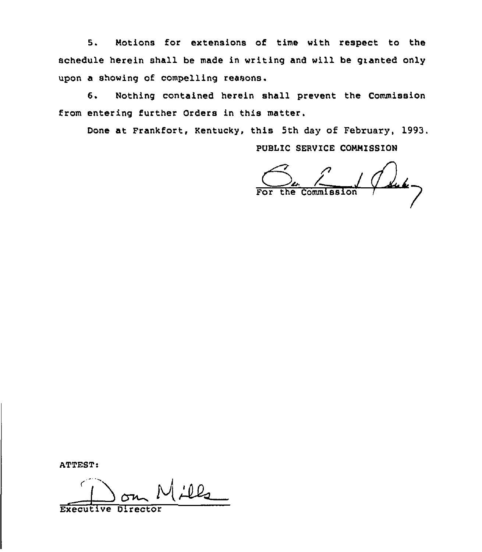5. Notions for extensions of time with respect to the schedule herein shall be made in writing and will be granted only upon a showing of compelling reasons.

6. Nothing contained herein shall prevent the Commission from entering further Orders in this matter.

Done at Frankfort, Kentucky, this 5th day of February, 1993.

PUBLIC SERVICE COMMISSION

 $rac{C}{\sqrt{C}}$   $rac{C}{\sqrt{C}}$   $rac{C}{\sqrt{C}}$   $rac{C}{\sqrt{C}}$ 

ATTEST:

€  $Ll_2$ Executive Director